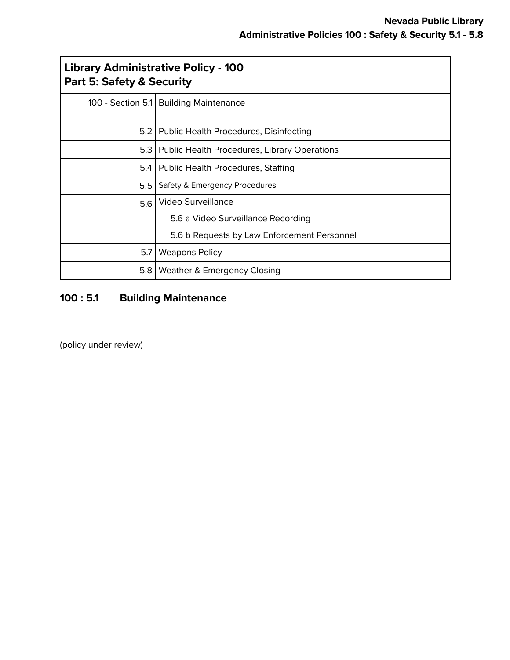| <b>Library Administrative Policy - 100</b><br><b>Part 5: Safety &amp; Security</b> |                                                    |
|------------------------------------------------------------------------------------|----------------------------------------------------|
|                                                                                    | 100 - Section 5.1 Building Maintenance             |
|                                                                                    | 5.2   Public Health Procedures, Disinfecting       |
|                                                                                    | 5.3   Public Health Procedures, Library Operations |
| 5.4                                                                                | <b>Public Health Procedures, Staffing</b>          |
| 5.5                                                                                | Safety & Emergency Procedures                      |
| 5.6                                                                                | Video Surveillance                                 |
|                                                                                    | 5.6 a Video Surveillance Recording                 |
|                                                                                    | 5.6 b Requests by Law Enforcement Personnel        |
| 5.7                                                                                | <b>Weapons Policy</b>                              |
| 5.8                                                                                | Weather & Emergency Closing                        |

# **100 : 5.1 Building Maintenance**

(policy under review)

г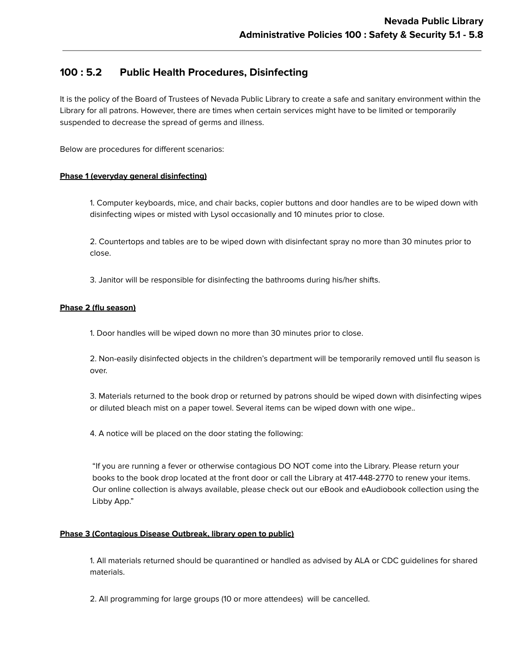# **100 : 5.2 Public Health Procedures, Disinfecting**

It is the policy of the Board of Trustees of Nevada Public Library to create a safe and sanitary environment within the Library for all patrons. However, there are times when certain services might have to be limited or temporarily suspended to decrease the spread of germs and illness.

Below are procedures for different scenarios:

### **Phase 1 (everyday general disinfecting)**

1. Computer keyboards, mice, and chair backs, copier buttons and door handles are to be wiped down with disinfecting wipes or misted with Lysol occasionally and 10 minutes prior to close.

2. Countertops and tables are to be wiped down with disinfectant spray no more than 30 minutes prior to close.

3. Janitor will be responsible for disinfecting the bathrooms during his/her shifts.

### **Phase 2 (flu season)**

1. Door handles will be wiped down no more than 30 minutes prior to close.

2. Non-easily disinfected objects in the children's department will be temporarily removed until flu season is over.

3. Materials returned to the book drop or returned by patrons should be wiped down with disinfecting wipes or diluted bleach mist on a paper towel. Several items can be wiped down with one wipe..

4. A notice will be placed on the door stating the following:

"If you are running a fever or otherwise contagious DO NOT come into the Library. Please return your books to the book drop located at the front door or call the Library at 417-448-2770 to renew your items. Our online collection is always available, please check out our eBook and eAudiobook collection using the Libby App."

#### **Phase 3 (Contagious Disease Outbreak, library open to public)**

1. All materials returned should be quarantined or handled as advised by ALA or CDC guidelines for shared materials.

2. All programming for large groups (10 or more attendees) will be cancelled.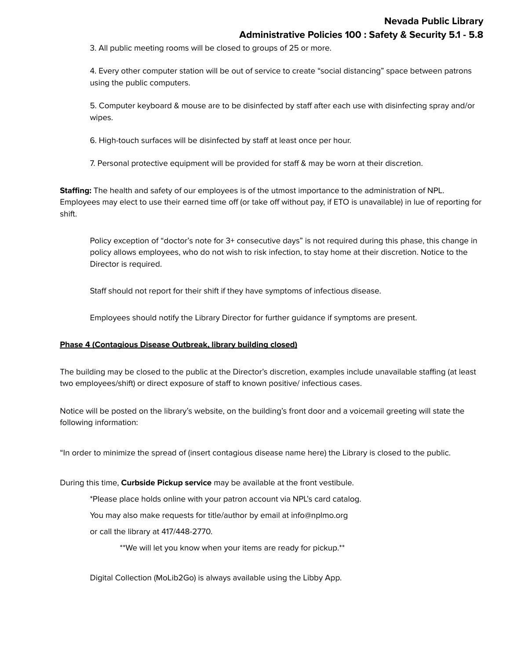3. All public meeting rooms will be closed to groups of 25 or more.

4. Every other computer station will be out of service to create "social distancing" space between patrons using the public computers.

5. Computer keyboard & mouse are to be disinfected by staff after each use with disinfecting spray and/or wipes.

6. High-touch surfaces will be disinfected by staff at least once per hour.

7. Personal protective equipment will be provided for staff & may be worn at their discretion.

**Staffing:** The health and safety of our employees is of the utmost importance to the administration of NPL. Employees may elect to use their earned time off (or take off without pay, if ETO is unavailable) in lue of reporting for shift.

Policy exception of "doctor's note for 3+ consecutive days" is not required during this phase, this change in policy allows employees, who do not wish to risk infection, to stay home at their discretion. Notice to the Director is required.

Staff should not report for their shift if they have symptoms of infectious disease.

Employees should notify the Library Director for further guidance if symptoms are present.

#### **Phase 4 (Contagious Disease Outbreak, library building closed)**

The building may be closed to the public at the Director's discretion, examples include unavailable staffing (at least two employees/shift) or direct exposure of staff to known positive/ infectious cases.

Notice will be posted on the library's website, on the building's front door and a voicemail greeting will state the following information:

"In order to minimize the spread of (insert contagious disease name here) the Library is closed to the public.

#### During this time, **Curbside Pickup service** may be available at the front vestibule.

\*Please place holds online with your patron account via NPL's card catalog.

You may also make requests for title/author by email at info@nplmo.org

or call the library at 417/448-2770.

\*\*We will let you know when your items are ready for pickup.\*\*

Digital Collection (MoLib2Go) is always available using the Libby App.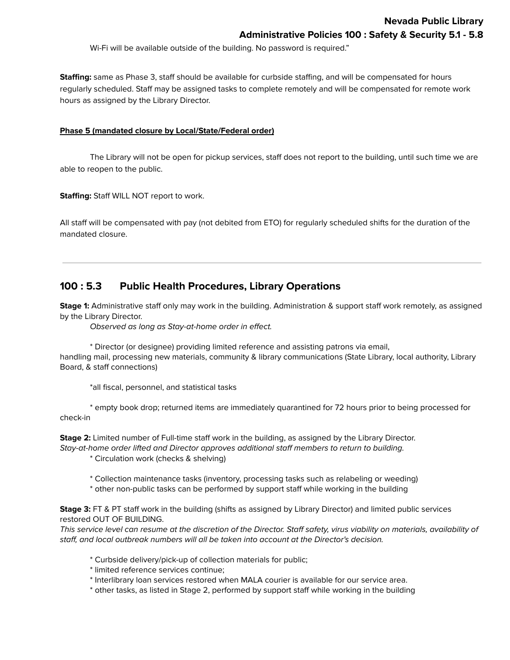Wi-Fi will be available outside of the building. No password is required."

**Staffing:** same as Phase 3, staff should be available for curbside staffing, and will be compensated for hours regularly scheduled. Staff may be assigned tasks to complete remotely and will be compensated for remote work hours as assigned by the Library Director.

#### **Phase 5 (mandated closure by Local/State/Federal order)**

The Library will not be open for pickup services, staff does not report to the building, until such time we are able to reopen to the public.

**Staffing:** Staff WILL NOT report to work.

All staff will be compensated with pay (not debited from ETO) for regularly scheduled shifts for the duration of the mandated closure.

# **100 : 5.3 Public Health Procedures, Library Operations**

**Stage 1:** Administrative staff only may work in the building. Administration & support staff work remotely, as assigned by the Library Director.

Observed as long as Stay-at-home order in effect.

\* Director (or designee) providing limited reference and assisting patrons via email, handling mail, processing new materials, community & library communications (State Library, local authority, Library Board, & staff connections)

\*all fiscal, personnel, and statistical tasks

\* empty book drop; returned items are immediately quarantined for 72 hours prior to being processed for check-in

**Stage 2:** Limited number of Full-time staff work in the building, as assigned by the Library Director. Stay-at-home order lifted and Director approves additional staff members to return to building.

\* Circulation work (checks & shelving)

\* Collection maintenance tasks (inventory, processing tasks such as relabeling or weeding)

\* other non-public tasks can be performed by support staff while working in the building

**Stage 3:** FT & PT staff work in the building (shifts as assigned by Library Director) and limited public services restored OUT OF BUILDING.

This service level can resume at the discretion of the Director. Staff safety, virus viability on materials, availability of staff, and local outbreak numbers will all be taken into account at the Director's decision.

- \* Curbside delivery/pick-up of collection materials for public;
- \* limited reference services continue;
- \* Interlibrary loan services restored when MALA courier is available for our service area.
- \* other tasks, as listed in Stage 2, performed by support staff while working in the building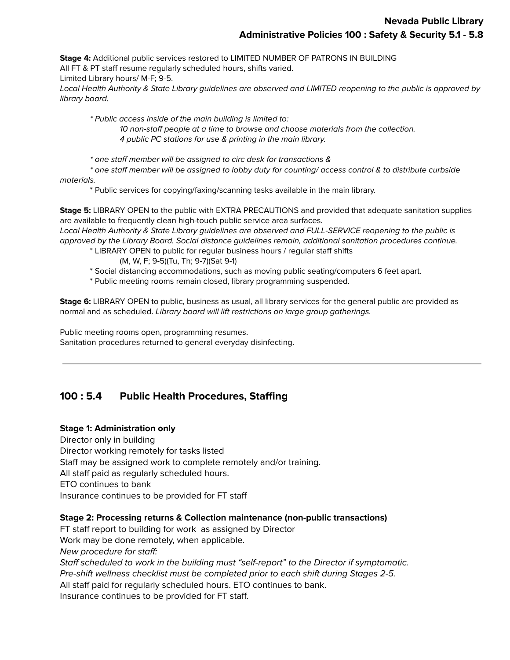**Stage 4:** Additional public services restored to LIMITED NUMBER OF PATRONS IN BUILDING All FT & PT staff resume regularly scheduled hours, shifts varied. Limited Library hours/ M-F; 9-5. Local Health Authority & State Library guidelines are observed and LIMITED reopening to the public is approved by library board.

\* Public access inside of the main building is limited to: 10 non-staff people at a time to browse and choose materials from the collection. 4 public PC stations for use & printing in the main library.

\* one staff member will be assigned to circ desk for transactions &

\* one staff member will be assigned to lobby duty for counting/ access control & to distribute curbside materials.

\* Public services for copying/faxing/scanning tasks available in the main library.

**Stage 5:** LIBRARY OPEN to the public with EXTRA PRECAUTIONS and provided that adequate sanitation supplies are available to frequently clean high-touch public service area surfaces.

Local Health Authority & State Library guidelines are observed and FULL-SERVICE reopening to the public is approved by the Library Board. Social distance guidelines remain, additional sanitation procedures continue.

\* LIBRARY OPEN to public for regular business hours / regular staff shifts

- (M, W, F; 9-5)(Tu, Th; 9-7)(Sat 9-1)
- \* Social distancing accommodations, such as moving public seating/computers 6 feet apart.

\* Public meeting rooms remain closed, library programming suspended.

**Stage 6:** LIBRARY OPEN to public, business as usual, all library services for the general public are provided as normal and as scheduled. Library board will lift restrictions on large group gatherings.

Public meeting rooms open, programming resumes. Sanitation procedures returned to general everyday disinfecting.

# **100 : 5.4 Public Health Procedures, Staffing**

### **Stage 1: Administration only**

Director only in building Director working remotely for tasks listed Staff may be assigned work to complete remotely and/or training. All staff paid as regularly scheduled hours. ETO continues to bank Insurance continues to be provided for FT staff

## **Stage 2: Processing returns & Collection maintenance (non-public transactions)**

FT staff report to building for work as assigned by Director Work may be done remotely, when applicable. New procedure for staff: Staff scheduled to work in the building must "self-report" to the Director if symptomatic. Pre-shift wellness checklist must be completed prior to each shift during Stages 2-5. All staff paid for regularly scheduled hours. ETO continues to bank. Insurance continues to be provided for FT staff.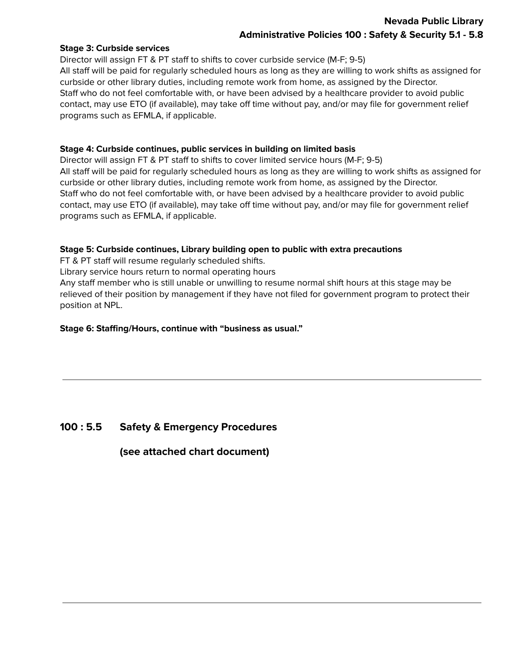# **Nevada Public Library Administrative Policies 100 : Safety & Security 5.1 - 5.8**

### **Stage 3: Curbside services**

Director will assign FT & PT staff to shifts to cover curbside service (M-F; 9-5) All staff will be paid for regularly scheduled hours as long as they are willing to work shifts as assigned for curbside or other library duties, including remote work from home, as assigned by the Director. Staff who do not feel comfortable with, or have been advised by a healthcare provider to avoid public contact, may use ETO (if available), may take off time without pay, and/or may file for government relief programs such as EFMLA, if applicable.

### **Stage 4: Curbside continues, public services in building on limited basis**

Director will assign FT & PT staff to shifts to cover limited service hours (M-F; 9-5) All staff will be paid for regularly scheduled hours as long as they are willing to work shifts as assigned for curbside or other library duties, including remote work from home, as assigned by the Director. Staff who do not feel comfortable with, or have been advised by a healthcare provider to avoid public contact, may use ETO (if available), may take off time without pay, and/or may file for government relief programs such as EFMLA, if applicable.

### **Stage 5: Curbside continues, Library building open to public with extra precautions**

FT & PT staff will resume regularly scheduled shifts.

Library service hours return to normal operating hours

Any staff member who is still unable or unwilling to resume normal shift hours at this stage may be relieved of their position by management if they have not filed for government program to protect their position at NPL.

### **Stage 6: Staffing/Hours, continue with "business as usual."**

## **100 : 5.5 Safety & Emergency Procedures**

**(see attached chart document)**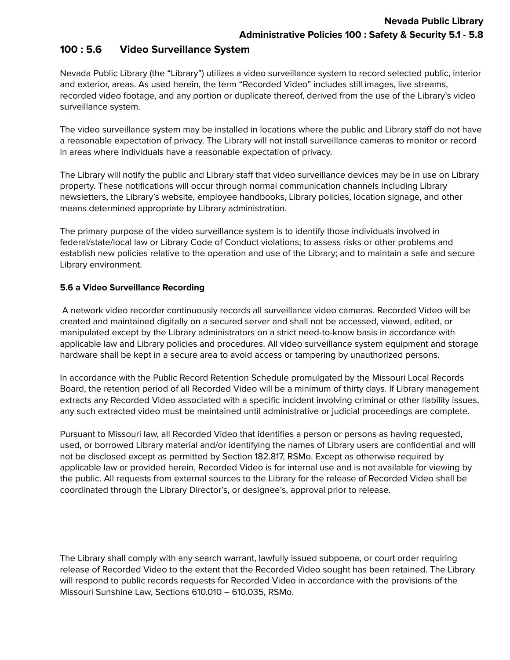# **100 : 5.6 Video Surveillance System**

Nevada Public Library (the "Library") utilizes a video surveillance system to record selected public, interior and exterior, areas. As used herein, the term "Recorded Video" includes still images, live streams, recorded video footage, and any portion or duplicate thereof, derived from the use of the Library's video surveillance system.

The video surveillance system may be installed in locations where the public and Library staff do not have a reasonable expectation of privacy. The Library will not install surveillance cameras to monitor or record in areas where individuals have a reasonable expectation of privacy.

The Library will notify the public and Library staff that video surveillance devices may be in use on Library property. These notifications will occur through normal communication channels including Library newsletters, the Library's website, employee handbooks, Library policies, location signage, and other means determined appropriate by Library administration.

The primary purpose of the video surveillance system is to identify those individuals involved in federal/state/local law or Library Code of Conduct violations; to assess risks or other problems and establish new policies relative to the operation and use of the Library; and to maintain a safe and secure Library environment.

## **5.6 a Video Surveillance Recording**

A network video recorder continuously records all surveillance video cameras. Recorded Video will be created and maintained digitally on a secured server and shall not be accessed, viewed, edited, or manipulated except by the Library administrators on a strict need-to-know basis in accordance with applicable law and Library policies and procedures. All video surveillance system equipment and storage hardware shall be kept in a secure area to avoid access or tampering by unauthorized persons.

In accordance with the Public Record Retention Schedule promulgated by the Missouri Local Records Board, the retention period of all Recorded Video will be a minimum of thirty days. If Library management extracts any Recorded Video associated with a specific incident involving criminal or other liability issues, any such extracted video must be maintained until administrative or judicial proceedings are complete.

Pursuant to Missouri law, all Recorded Video that identifies a person or persons as having requested, used, or borrowed Library material and/or identifying the names of Library users are confidential and will not be disclosed except as permitted by Section 182.817, RSMo. Except as otherwise required by applicable law or provided herein, Recorded Video is for internal use and is not available for viewing by the public. All requests from external sources to the Library for the release of Recorded Video shall be coordinated through the Library Director's, or designee's, approval prior to release.

The Library shall comply with any search warrant, lawfully issued subpoena, or court order requiring release of Recorded Video to the extent that the Recorded Video sought has been retained. The Library will respond to public records requests for Recorded Video in accordance with the provisions of the Missouri Sunshine Law, Sections 610.010 – 610.035, RSMo.